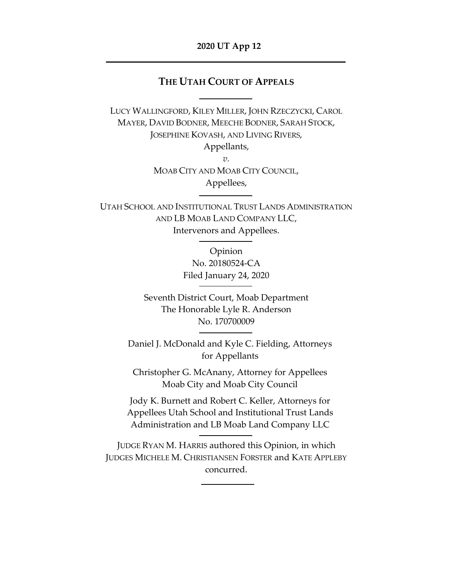#### **2020 UT App 12**

### **THE UTAH COURT OF APPEALS**

LUCY WALLINGFORD, KILEY MILLER, JOHN RZECZYCKI, CAROL MAYER, DAVID BODNER, MEECHE BODNER, SARAH STOCK, JOSEPHINE KOVASH, AND LIVING RIVERS, Appellants, *v.* MOAB CITY AND MOAB CITY COUNCIL,

Appellees,

UTAH SCHOOL AND INSTITUTIONAL TRUST LANDS ADMINISTRATION AND LB MOAB LAND COMPANY LLC, Intervenors and Appellees.

> Opinion No. 20180524-CA Filed January 24, 2020

Seventh District Court, Moab Department The Honorable Lyle R. Anderson No. 170700009

Daniel J. McDonald and Kyle C. Fielding, Attorneys for Appellants

Christopher G. McAnany, Attorney for Appellees Moab City and Moab City Council

Jody K. Burnett and Robert C. Keller, Attorneys for Appellees Utah School and Institutional Trust Lands Administration and LB Moab Land Company LLC

JUDGE RYAN M. HARRIS authored this Opinion, in which JUDGES MICHELE M. CHRISTIANSEN FORSTER and KATE APPLEBY concurred.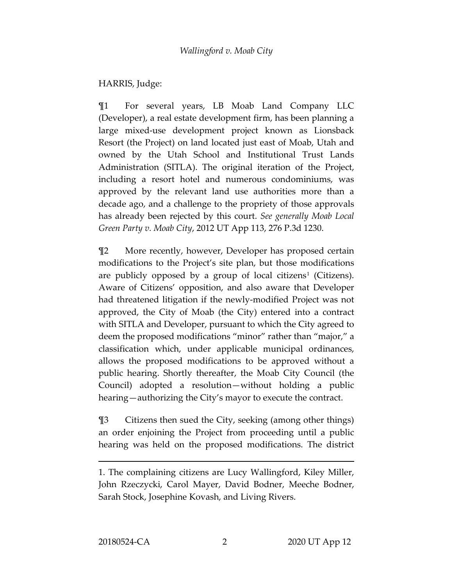# HARRIS, Judge:

¶1 For several years, LB Moab Land Company LLC (Developer), a real estate development firm, has been planning a large mixed-use development project known as Lionsback Resort (the Project) on land located just east of Moab, Utah and owned by the Utah School and Institutional Trust Lands Administration (SITLA). The original iteration of the Project, including a resort hotel and numerous condominiums, was approved by the relevant land use authorities more than a decade ago, and a challenge to the propriety of those approvals has already been rejected by this court. *See generally Moab Local Green Party v. Moab City*, 2012 UT App 113, 276 P.3d 1230.

¶2 More recently, however, Developer has proposed certain modifications to the Project's site plan, but those modifications are publicly opposed by a group of local citizens<sup>[1](#page-1-0)</sup> (Citizens). Aware of Citizens' opposition, and also aware that Developer had threatened litigation if the newly-modified Project was not approved, the City of Moab (the City) entered into a contract with SITLA and Developer, pursuant to which the City agreed to deem the proposed modifications "minor" rather than "major," a classification which, under applicable municipal ordinances, allows the proposed modifications to be approved without a public hearing. Shortly thereafter, the Moab City Council (the Council) adopted a resolution—without holding a public hearing—authorizing the City's mayor to execute the contract.

¶3 Citizens then sued the City, seeking (among other things) an order enjoining the Project from proceeding until a public hearing was held on the proposed modifications. The district

<span id="page-1-0"></span><sup>1.</sup> The complaining citizens are Lucy Wallingford, Kiley Miller, John Rzeczycki, Carol Mayer, David Bodner, Meeche Bodner, Sarah Stock, Josephine Kovash, and Living Rivers.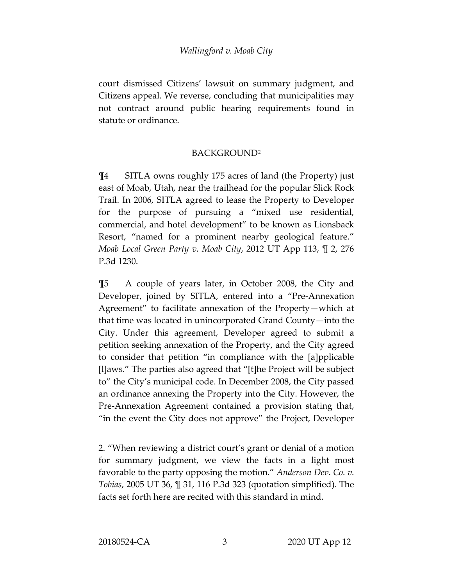court dismissed Citizens' lawsuit on summary judgment, and Citizens appeal. We reverse, concluding that municipalities may not contract around public hearing requirements found in statute or ordinance.

#### BACKGROUND[2](#page-2-0)

¶4 SITLA owns roughly 175 acres of land (the Property) just east of Moab, Utah, near the trailhead for the popular Slick Rock Trail. In 2006, SITLA agreed to lease the Property to Developer for the purpose of pursuing a "mixed use residential, commercial, and hotel development" to be known as Lionsback Resort, "named for a prominent nearby geological feature." *Moab Local Green Party v. Moab City*, 2012 UT App 113, ¶ 2, 276 P.3d 1230.

¶5 A couple of years later, in October 2008, the City and Developer, joined by SITLA, entered into a "Pre-Annexation Agreement" to facilitate annexation of the Property—which at that time was located in unincorporated Grand County—into the City. Under this agreement, Developer agreed to submit a petition seeking annexation of the Property, and the City agreed to consider that petition "in compliance with the [a]pplicable [l]aws." The parties also agreed that "[t]he Project will be subject to" the City's municipal code. In December 2008, the City passed an ordinance annexing the Property into the City. However, the Pre-Annexation Agreement contained a provision stating that, "in the event the City does not approve" the Project, Developer

<span id="page-2-0"></span><sup>2.</sup> "When reviewing a district court's grant or denial of a motion for summary judgment, we view the facts in a light most favorable to the party opposing the motion." *Anderson Dev. Co. v. Tobias*, 2005 UT 36, ¶ 31, 116 P.3d 323 (quotation simplified). The facts set forth here are recited with this standard in mind.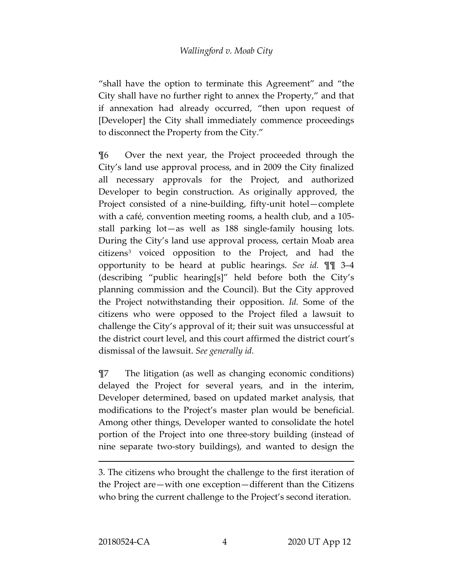"shall have the option to terminate this Agreement" and "the City shall have no further right to annex the Property," and that if annexation had already occurred, "then upon request of [Developer] the City shall immediately commence proceedings to disconnect the Property from the City."

¶6 Over the next year, the Project proceeded through the City's land use approval process, and in 2009 the City finalized all necessary approvals for the Project, and authorized Developer to begin construction. As originally approved, the Project consisted of a nine-building, fifty-unit hotel—complete with a café, convention meeting rooms, a health club, and a 105 stall parking lot—as well as 188 single-family housing lots. During the City's land use approval process, certain Moab area citizens[3](#page-3-0) voiced opposition to the Project, and had the opportunity to be heard at public hearings. *See id.* ¶¶ 3–4 (describing "public hearing[s]" held before both the City's planning commission and the Council). But the City approved the Project notwithstanding their opposition. *Id.* Some of the citizens who were opposed to the Project filed a lawsuit to challenge the City's approval of it; their suit was unsuccessful at the district court level, and this court affirmed the district court's dismissal of the lawsuit. *See generally id.*

¶7 The litigation (as well as changing economic conditions) delayed the Project for several years, and in the interim, Developer determined, based on updated market analysis, that modifications to the Project's master plan would be beneficial. Among other things, Developer wanted to consolidate the hotel portion of the Project into one three-story building (instead of nine separate two-story buildings), and wanted to design the

<span id="page-3-0"></span><sup>3.</sup> The citizens who brought the challenge to the first iteration of the Project are—with one exception—different than the Citizens who bring the current challenge to the Project's second iteration.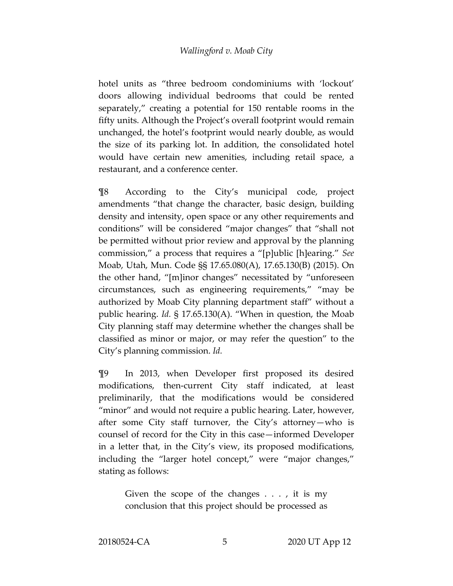hotel units as "three bedroom condominiums with 'lockout' doors allowing individual bedrooms that could be rented separately," creating a potential for 150 rentable rooms in the fifty units. Although the Project's overall footprint would remain unchanged, the hotel's footprint would nearly double, as would the size of its parking lot. In addition, the consolidated hotel would have certain new amenities, including retail space, a restaurant, and a conference center.

¶8 According to the City's municipal code, project amendments "that change the character, basic design, building density and intensity, open space or any other requirements and conditions" will be considered "major changes" that "shall not be permitted without prior review and approval by the planning commission," a process that requires a "[p]ublic [h]earing." *See*  Moab, Utah, Mun. Code §§ 17.65.080(A), 17.65.130(B) (2015). On the other hand, "[m]inor changes" necessitated by "unforeseen circumstances, such as engineering requirements," "may be authorized by Moab City planning department staff" without a public hearing. *Id.* § 17.65.130(A). "When in question, the Moab City planning staff may determine whether the changes shall be classified as minor or major, or may refer the question" to the City's planning commission. *Id.*

¶9 In 2013, when Developer first proposed its desired modifications, then-current City staff indicated, at least preliminarily, that the modifications would be considered "minor" and would not require a public hearing. Later, however, after some City staff turnover, the City's attorney—who is counsel of record for the City in this case—informed Developer in a letter that, in the City's view, its proposed modifications, including the "larger hotel concept," were "major changes," stating as follows:

> Given the scope of the changes . . . , it is my conclusion that this project should be processed as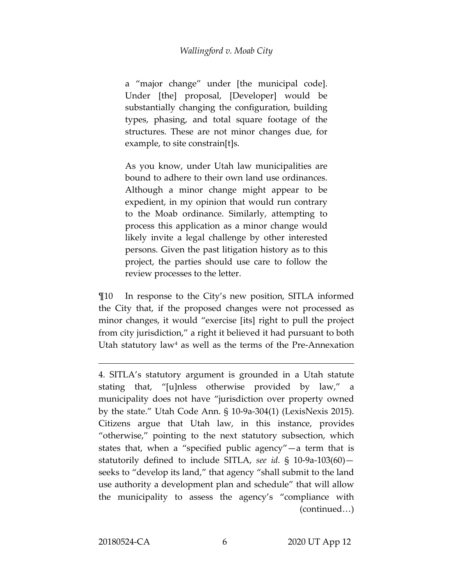a "major change" under [the municipal code]. Under [the] proposal, [Developer] would be substantially changing the configuration, building types, phasing, and total square footage of the structures. These are not minor changes due, for example, to site constrain[t]s.

As you know, under Utah law municipalities are bound to adhere to their own land use ordinances. Although a minor change might appear to be expedient, in my opinion that would run contrary to the Moab ordinance. Similarly, attempting to process this application as a minor change would likely invite a legal challenge by other interested persons. Given the past litigation history as to this project, the parties should use care to follow the review processes to the letter.

¶10 In response to the City's new position, SITLA informed the City that, if the proposed changes were not processed as minor changes, it would "exercise [its] right to pull the project from city jurisdiction," a right it believed it had pursuant to both Utah statutory law<sup>[4](#page-5-0)</sup> as well as the terms of the Pre-Annexation

<span id="page-5-0"></span><sup>4.</sup> SITLA's statutory argument is grounded in a Utah statute stating that, "[u]nless otherwise provided by law," a municipality does not have "jurisdiction over property owned by the state." Utah Code Ann. § 10-9a-304(1) (LexisNexis 2015). Citizens argue that Utah law, in this instance, provides "otherwise," pointing to the next statutory subsection, which states that, when a "specified public agency"—a term that is statutorily defined to include SITLA, *see id.* § 10-9a-103(60) seeks to "develop its land," that agency "shall submit to the land use authority a development plan and schedule" that will allow the municipality to assess the agency's "compliance with (continued…)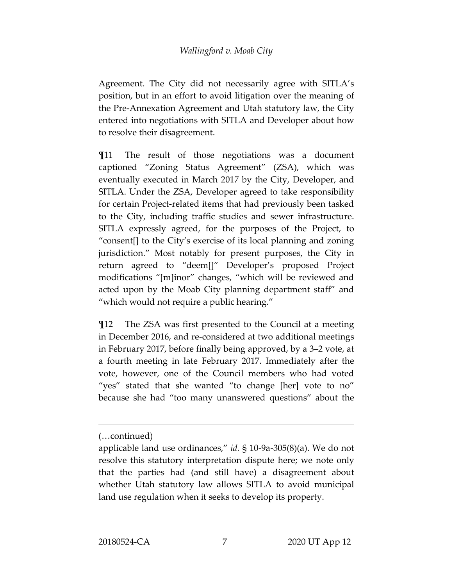Agreement. The City did not necessarily agree with SITLA's position, but in an effort to avoid litigation over the meaning of the Pre-Annexation Agreement and Utah statutory law, the City entered into negotiations with SITLA and Developer about how to resolve their disagreement.

¶11 The result of those negotiations was a document captioned "Zoning Status Agreement" (ZSA), which was eventually executed in March 2017 by the City, Developer, and SITLA. Under the ZSA, Developer agreed to take responsibility for certain Project-related items that had previously been tasked to the City, including traffic studies and sewer infrastructure. SITLA expressly agreed, for the purposes of the Project, to "consent[] to the City's exercise of its local planning and zoning jurisdiction." Most notably for present purposes, the City in return agreed to "deem[]" Developer's proposed Project modifications "[m]inor" changes, "which will be reviewed and acted upon by the Moab City planning department staff" and "which would not require a public hearing."

¶12 The ZSA was first presented to the Council at a meeting in December 2016, and re-considered at two additional meetings in February 2017, before finally being approved, by a 3–2 vote, at a fourth meeting in late February 2017. Immediately after the vote, however, one of the Council members who had voted "yes" stated that she wanted "to change [her] vote to no" because she had "too many unanswered questions" about the

<sup>(…</sup>continued)

applicable land use ordinances," *id.* § 10-9a-305(8)(a). We do not resolve this statutory interpretation dispute here; we note only that the parties had (and still have) a disagreement about whether Utah statutory law allows SITLA to avoid municipal land use regulation when it seeks to develop its property.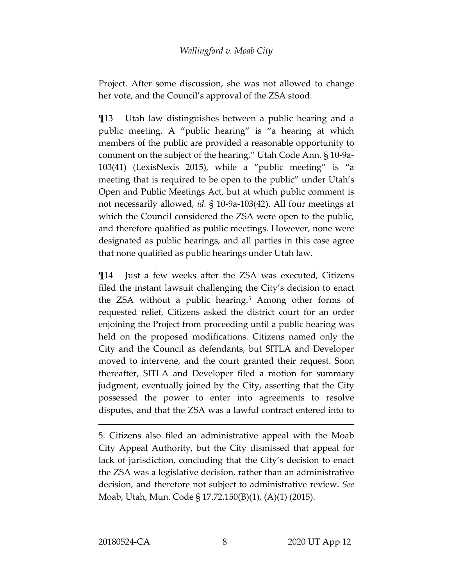Project. After some discussion, she was not allowed to change her vote, and the Council's approval of the ZSA stood.

¶13 Utah law distinguishes between a public hearing and a public meeting. A "public hearing" is "a hearing at which members of the public are provided a reasonable opportunity to comment on the subject of the hearing," Utah Code Ann. § 10-9a-103(41) (LexisNexis 2015), while a "public meeting" is "a meeting that is required to be open to the public" under Utah's Open and Public Meetings Act, but at which public comment is not necessarily allowed, *id.* § 10-9a-103(42). All four meetings at which the Council considered the ZSA were open to the public, and therefore qualified as public meetings. However, none were designated as public hearings, and all parties in this case agree that none qualified as public hearings under Utah law.

¶14 Just a few weeks after the ZSA was executed, Citizens filed the instant lawsuit challenging the City's decision to enact the ZSA without a public hearing.<sup>[5](#page-7-0)</sup> Among other forms of requested relief, Citizens asked the district court for an order enjoining the Project from proceeding until a public hearing was held on the proposed modifications. Citizens named only the City and the Council as defendants, but SITLA and Developer moved to intervene, and the court granted their request. Soon thereafter, SITLA and Developer filed a motion for summary judgment, eventually joined by the City, asserting that the City possessed the power to enter into agreements to resolve disputes, and that the ZSA was a lawful contract entered into to

<span id="page-7-0"></span><sup>5.</sup> Citizens also filed an administrative appeal with the Moab City Appeal Authority, but the City dismissed that appeal for lack of jurisdiction, concluding that the City's decision to enact the ZSA was a legislative decision, rather than an administrative decision, and therefore not subject to administrative review. *See*  Moab, Utah, Mun. Code § 17.72.150(B)(1), (A)(1) (2015).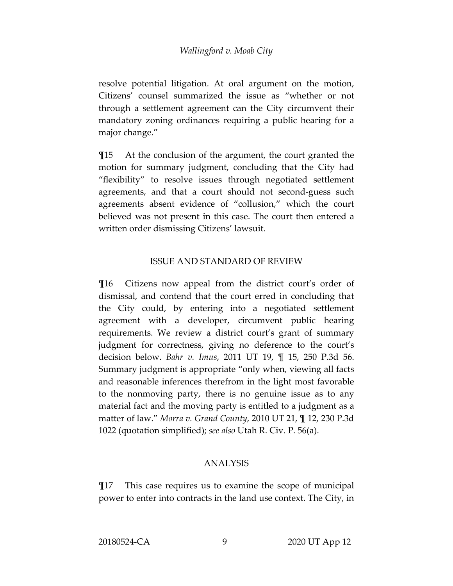resolve potential litigation. At oral argument on the motion, Citizens' counsel summarized the issue as "whether or not through a settlement agreement can the City circumvent their mandatory zoning ordinances requiring a public hearing for a major change."

¶15 At the conclusion of the argument, the court granted the motion for summary judgment, concluding that the City had "flexibility" to resolve issues through negotiated settlement agreements, and that a court should not second-guess such agreements absent evidence of "collusion," which the court believed was not present in this case. The court then entered a written order dismissing Citizens' lawsuit.

## ISSUE AND STANDARD OF REVIEW

¶16 Citizens now appeal from the district court's order of dismissal, and contend that the court erred in concluding that the City could, by entering into a negotiated settlement agreement with a developer, circumvent public hearing requirements. We review a district court's grant of summary judgment for correctness, giving no deference to the court's decision below. *Bahr v. Imus*, 2011 UT 19, ¶ 15, 250 P.3d 56. Summary judgment is appropriate "only when, viewing all facts and reasonable inferences therefrom in the light most favorable to the nonmoving party, there is no genuine issue as to any material fact and the moving party is entitled to a judgment as a matter of law." *Morra v. Grand County*, 2010 UT 21, ¶ 12, 230 P.3d 1022 (quotation simplified); *see also* Utah R. Civ. P. 56(a).

#### ANALYSIS

¶17 This case requires us to examine the scope of municipal power to enter into contracts in the land use context. The City, in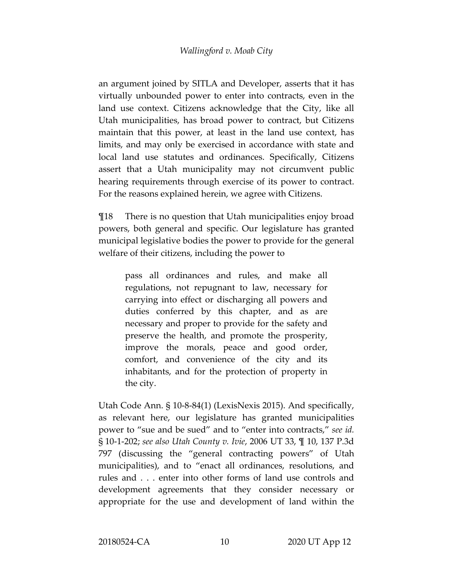an argument joined by SITLA and Developer, asserts that it has virtually unbounded power to enter into contracts, even in the land use context. Citizens acknowledge that the City, like all Utah municipalities, has broad power to contract, but Citizens maintain that this power, at least in the land use context, has limits, and may only be exercised in accordance with state and local land use statutes and ordinances. Specifically, Citizens assert that a Utah municipality may not circumvent public hearing requirements through exercise of its power to contract. For the reasons explained herein, we agree with Citizens.

¶18 There is no question that Utah municipalities enjoy broad powers, both general and specific. Our legislature has granted municipal legislative bodies the power to provide for the general welfare of their citizens, including the power to

> pass all ordinances and rules, and make all regulations, not repugnant to law, necessary for carrying into effect or discharging all powers and duties conferred by this chapter, and as are necessary and proper to provide for the safety and preserve the health, and promote the prosperity, improve the morals, peace and good order, comfort, and convenience of the city and its inhabitants, and for the protection of property in the city.

Utah Code Ann. § 10-8-84(1) (LexisNexis 2015). And specifically, as relevant here, our legislature has granted municipalities power to "sue and be sued" and to "enter into contracts," *see id.* § 10-1-202; *see also Utah County v. Ivie*, 2006 UT 33, ¶ 10, 137 P.3d 797 (discussing the "general contracting powers" of Utah municipalities), and to "enact all ordinances, resolutions, and rules and . . . enter into other forms of land use controls and development agreements that they consider necessary or appropriate for the use and development of land within the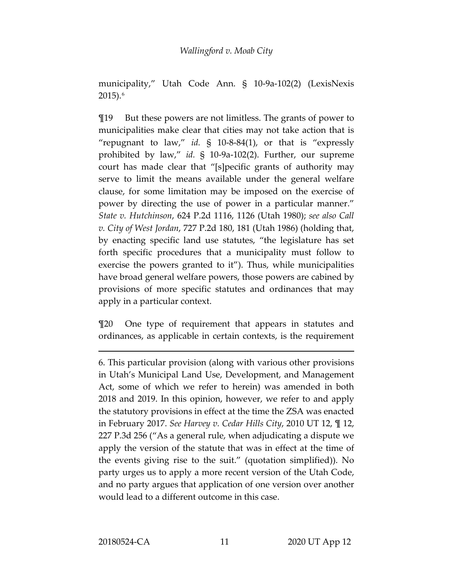municipality," Utah Code Ann. § 10-9a-102(2) (LexisNexis  $2015$ ).<sup>[6](#page-10-0)</sup>

¶19 But these powers are not limitless. The grants of power to municipalities make clear that cities may not take action that is "repugnant to law," *id.* § 10-8-84(1), or that is "expressly prohibited by law," *id.* § 10-9a-102(2). Further, our supreme court has made clear that "[s]pecific grants of authority may serve to limit the means available under the general welfare clause, for some limitation may be imposed on the exercise of power by directing the use of power in a particular manner." *State v. Hutchinson*, 624 P.2d 1116, 1126 (Utah 1980); *see also Call v. City of West Jordan*, 727 P.2d 180, 181 (Utah 1986) (holding that, by enacting specific land use statutes, "the legislature has set forth specific procedures that a municipality must follow to exercise the powers granted to it"). Thus, while municipalities have broad general welfare powers, those powers are cabined by provisions of more specific statutes and ordinances that may apply in a particular context.

¶20 One type of requirement that appears in statutes and ordinances, as applicable in certain contexts, is the requirement

<span id="page-10-0"></span><sup>6.</sup> This particular provision (along with various other provisions in Utah's Municipal Land Use, Development, and Management Act, some of which we refer to herein) was amended in both 2018 and 2019. In this opinion, however, we refer to and apply the statutory provisions in effect at the time the ZSA was enacted in February 2017. *See Harvey v. Cedar Hills City*, 2010 UT 12, ¶ 12, 227 P.3d 256 ("As a general rule, when adjudicating a dispute we apply the version of the statute that was in effect at the time of the events giving rise to the suit." (quotation simplified)). No party urges us to apply a more recent version of the Utah Code, and no party argues that application of one version over another would lead to a different outcome in this case.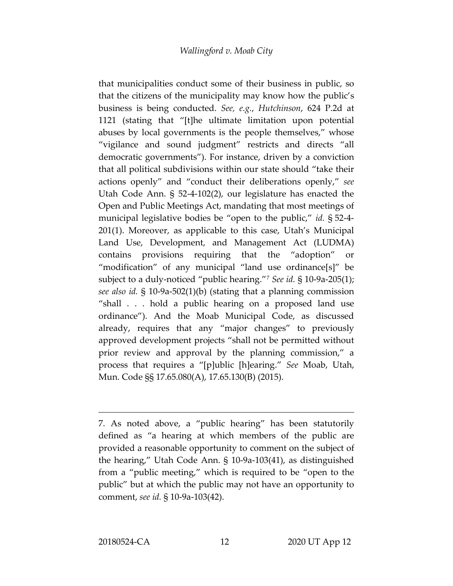that municipalities conduct some of their business in public, so that the citizens of the municipality may know how the public's business is being conducted. *See, e.g.*, *Hutchinson*, 624 P.2d at 1121 (stating that "[t]he ultimate limitation upon potential abuses by local governments is the people themselves," whose "vigilance and sound judgment" restricts and directs "all democratic governments"). For instance, driven by a conviction that all political subdivisions within our state should "take their actions openly" and "conduct their deliberations openly," *see*  Utah Code Ann. § 52-4-102(2), our legislature has enacted the Open and Public Meetings Act, mandating that most meetings of municipal legislative bodies be "open to the public," *id.* § 52-4- 201(1). Moreover, as applicable to this case, Utah's Municipal Land Use, Development, and Management Act (LUDMA) contains provisions requiring that the "adoption" or "modification" of any municipal "land use ordinance[s]" be subject to a duly-noticed "public hearing."[7](#page-11-0) *See id.* § 10-9a-205(1); *see also id.* § 10-9a-502(1)(b) (stating that a planning commission "shall . . . hold a public hearing on a proposed land use ordinance"). And the Moab Municipal Code, as discussed already, requires that any "major changes" to previously approved development projects "shall not be permitted without prior review and approval by the planning commission," a process that requires a "[p]ublic [h]earing." *See* Moab, Utah, Mun. Code §§ 17.65.080(A), 17.65.130(B) (2015).

<span id="page-11-0"></span><sup>7.</sup> As noted above, a "public hearing" has been statutorily defined as "a hearing at which members of the public are provided a reasonable opportunity to comment on the subject of the hearing," Utah Code Ann. § 10-9a-103(41), as distinguished from a "public meeting," which is required to be "open to the public" but at which the public may not have an opportunity to comment, *see id.* § 10-9a-103(42).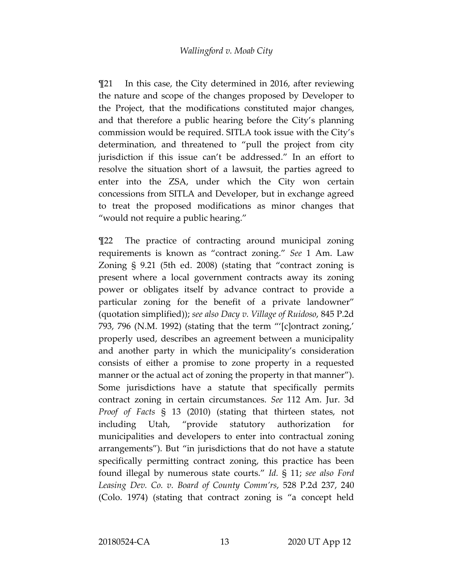¶21 In this case, the City determined in 2016, after reviewing the nature and scope of the changes proposed by Developer to the Project, that the modifications constituted major changes, and that therefore a public hearing before the City's planning commission would be required. SITLA took issue with the City's determination, and threatened to "pull the project from city jurisdiction if this issue can't be addressed." In an effort to resolve the situation short of a lawsuit, the parties agreed to enter into the ZSA, under which the City won certain concessions from SITLA and Developer, but in exchange agreed to treat the proposed modifications as minor changes that "would not require a public hearing."

¶22 The practice of contracting around municipal zoning requirements is known as "contract zoning." *See* 1 Am. Law Zoning § 9.21 (5th ed. 2008) (stating that "contract zoning is present where a local government contracts away its zoning power or obligates itself by advance contract to provide a particular zoning for the benefit of a private landowner" (quotation simplified)); *see also Dacy v. Village of Ruidoso*, 845 P.2d 793, 796 (N.M. 1992) (stating that the term "'[c]ontract zoning,' properly used, describes an agreement between a municipality and another party in which the municipality's consideration consists of either a promise to zone property in a requested manner or the actual act of zoning the property in that manner"). Some jurisdictions have a statute that specifically permits contract zoning in certain circumstances. *See* 112 Am. Jur. 3d *Proof of Facts* § 13 (2010) (stating that thirteen states, not including Utah, "provide statutory authorization for municipalities and developers to enter into contractual zoning arrangements"). But "in jurisdictions that do not have a statute specifically permitting contract zoning, this practice has been found illegal by numerous state courts." *Id.* § 11; *see also Ford Leasing Dev. Co. v. Board of County Comm'rs*, 528 P.2d 237, 240 (Colo. 1974) (stating that contract zoning is "a concept held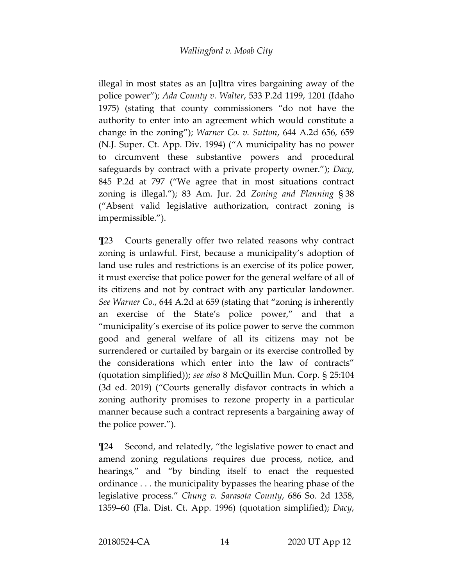illegal in most states as an [u]ltra vires bargaining away of the police power"); *Ada County v. Walter*, 533 P.2d 1199, 1201 (Idaho 1975) (stating that county commissioners "do not have the authority to enter into an agreement which would constitute a change in the zoning"); *Warner Co. v. Sutton*, 644 A.2d 656, 659 (N.J. Super. Ct. App. Div. 1994) ("A municipality has no power to circumvent these substantive powers and procedural safeguards by contract with a private property owner."); *Dacy*, 845 P.2d at 797 ("We agree that in most situations contract zoning is illegal."); 83 Am. Jur. 2d *Zoning and Planning* § 38 ("Absent valid legislative authorization, contract zoning is impermissible.").

¶23 Courts generally offer two related reasons why contract zoning is unlawful. First, because a municipality's adoption of land use rules and restrictions is an exercise of its police power, it must exercise that police power for the general welfare of all of its citizens and not by contract with any particular landowner. *See Warner Co.*, 644 A.2d at 659 (stating that "zoning is inherently an exercise of the State's police power," and that a "municipality's exercise of its police power to serve the common good and general welfare of all its citizens may not be surrendered or curtailed by bargain or its exercise controlled by the considerations which enter into the law of contracts" (quotation simplified)); *see also* 8 McQuillin Mun. Corp. § 25:104 (3d ed. 2019) ("Courts generally disfavor contracts in which a zoning authority promises to rezone property in a particular manner because such a contract represents a bargaining away of the police power.").

¶24 Second, and relatedly, "the legislative power to enact and amend zoning regulations requires due process, notice, and hearings," and "by binding itself to enact the requested ordinance . . . the municipality bypasses the hearing phase of the legislative process." *Chung v. Sarasota County*, 686 So. 2d 1358, 1359–60 (Fla. Dist. Ct. App. 1996) (quotation simplified); *Dacy*,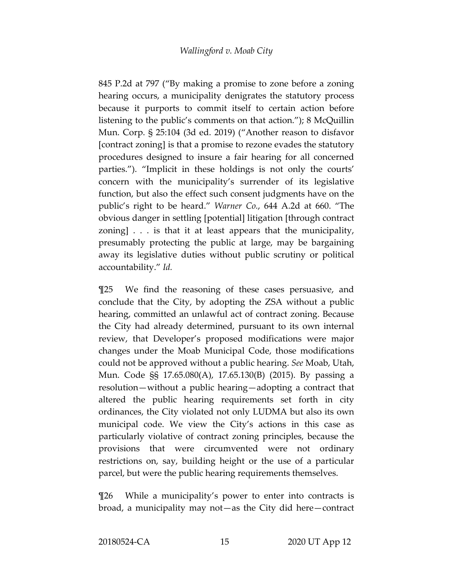845 P.2d at 797 ("By making a promise to zone before a zoning hearing occurs, a municipality denigrates the statutory process because it purports to commit itself to certain action before listening to the public's comments on that action."); 8 McQuillin Mun. Corp. § 25:104 (3d ed. 2019) ("Another reason to disfavor [contract zoning] is that a promise to rezone evades the statutory procedures designed to insure a fair hearing for all concerned parties."). "Implicit in these holdings is not only the courts' concern with the municipality's surrender of its legislative function, but also the effect such consent judgments have on the public's right to be heard." *Warner Co.*, 644 A.2d at 660. "The obvious danger in settling [potential] litigation [through contract zoning] . . . is that it at least appears that the municipality, presumably protecting the public at large, may be bargaining away its legislative duties without public scrutiny or political accountability." *Id.*

¶25 We find the reasoning of these cases persuasive, and conclude that the City, by adopting the ZSA without a public hearing, committed an unlawful act of contract zoning. Because the City had already determined, pursuant to its own internal review, that Developer's proposed modifications were major changes under the Moab Municipal Code, those modifications could not be approved without a public hearing. *See* Moab, Utah, Mun. Code §§ 17.65.080(A), 17.65.130(B) (2015). By passing a resolution—without a public hearing—adopting a contract that altered the public hearing requirements set forth in city ordinances, the City violated not only LUDMA but also its own municipal code. We view the City's actions in this case as particularly violative of contract zoning principles, because the provisions that were circumvented were not ordinary restrictions on, say, building height or the use of a particular parcel, but were the public hearing requirements themselves.

¶26 While a municipality's power to enter into contracts is broad, a municipality may not—as the City did here—contract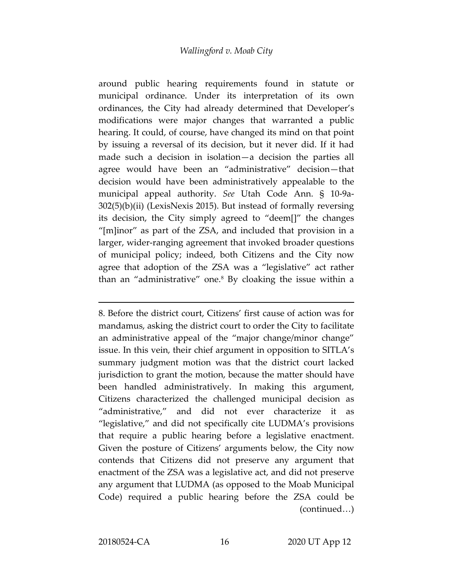around public hearing requirements found in statute or municipal ordinance. Under its interpretation of its own ordinances, the City had already determined that Developer's modifications were major changes that warranted a public hearing. It could, of course, have changed its mind on that point by issuing a reversal of its decision, but it never did. If it had made such a decision in isolation—a decision the parties all agree would have been an "administrative" decision—that decision would have been administratively appealable to the municipal appeal authority. *See* Utah Code Ann. § 10-9a-302(5)(b)(ii) (LexisNexis 2015). But instead of formally reversing its decision, the City simply agreed to "deem[]" the changes "[m]inor" as part of the ZSA, and included that provision in a larger, wider-ranging agreement that invoked broader questions of municipal policy; indeed, both Citizens and the City now agree that adoption of the ZSA was a "legislative" act rather than an "administrative" one.[8](#page-15-0) By cloaking the issue within a

<span id="page-15-0"></span>8. Before the district court, Citizens' first cause of action was for mandamus, asking the district court to order the City to facilitate an administrative appeal of the "major change/minor change" issue. In this vein, their chief argument in opposition to SITLA's summary judgment motion was that the district court lacked jurisdiction to grant the motion, because the matter should have been handled administratively. In making this argument, Citizens characterized the challenged municipal decision as "administrative," and did not ever characterize it as "legislative," and did not specifically cite LUDMA's provisions that require a public hearing before a legislative enactment. Given the posture of Citizens' arguments below, the City now contends that Citizens did not preserve any argument that enactment of the ZSA was a legislative act, and did not preserve any argument that LUDMA (as opposed to the Moab Municipal Code) required a public hearing before the ZSA could be (continued…)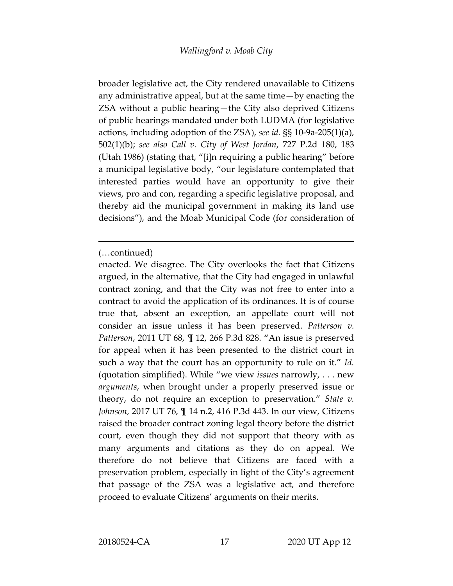broader legislative act, the City rendered unavailable to Citizens any administrative appeal, but at the same time—by enacting the ZSA without a public hearing—the City also deprived Citizens of public hearings mandated under both LUDMA (for legislative actions, including adoption of the ZSA), *see id.* §§ 10-9a-205(1)(a), 502(1)(b); *see also Call v. City of West Jordan*, 727 P.2d 180, 183 (Utah 1986) (stating that, "[i]n requiring a public hearing" before a municipal legislative body, "our legislature contemplated that interested parties would have an opportunity to give their views, pro and con, regarding a specific legislative proposal, and thereby aid the municipal government in making its land use decisions"), and the Moab Municipal Code (for consideration of

<sup>(…</sup>continued)

enacted. We disagree. The City overlooks the fact that Citizens argued, in the alternative, that the City had engaged in unlawful contract zoning, and that the City was not free to enter into a contract to avoid the application of its ordinances. It is of course true that, absent an exception, an appellate court will not consider an issue unless it has been preserved. *Patterson v. Patterson*, 2011 UT 68, ¶ 12, 266 P.3d 828. "An issue is preserved for appeal when it has been presented to the district court in such a way that the court has an opportunity to rule on it." *Id.*  (quotation simplified). While "we view *issues* narrowly, . . . new *arguments*, when brought under a properly preserved issue or theory, do not require an exception to preservation." *State v. Johnson*, 2017 UT 76, ¶ 14 n.2, 416 P.3d 443. In our view, Citizens raised the broader contract zoning legal theory before the district court, even though they did not support that theory with as many arguments and citations as they do on appeal. We therefore do not believe that Citizens are faced with a preservation problem, especially in light of the City's agreement that passage of the ZSA was a legislative act, and therefore proceed to evaluate Citizens' arguments on their merits.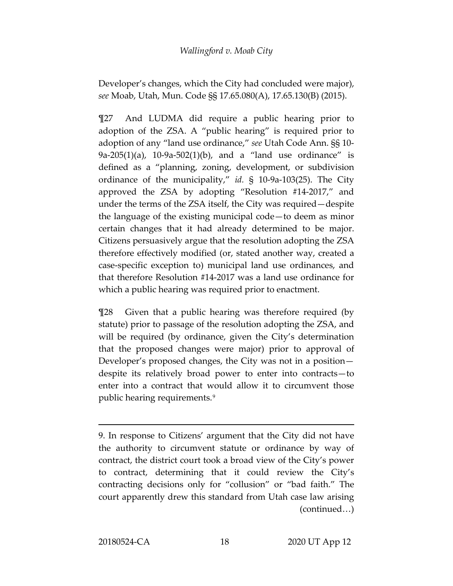Developer's changes, which the City had concluded were major), *see* Moab, Utah, Mun. Code §§ 17.65.080(A), 17.65.130(B) (2015).

¶27 And LUDMA did require a public hearing prior to adoption of the ZSA. A "public hearing" is required prior to adoption of any "land use ordinance," *see* Utah Code Ann. §§ 10- 9a-205(1)(a), 10-9a-502(1)(b), and a "land use ordinance" is defined as a "planning, zoning, development, or subdivision ordinance of the municipality," *id.* § 10-9a-103(25). The City approved the ZSA by adopting "Resolution #14-2017," and under the terms of the ZSA itself, the City was required—despite the language of the existing municipal code—to deem as minor certain changes that it had already determined to be major. Citizens persuasively argue that the resolution adopting the ZSA therefore effectively modified (or, stated another way, created a case-specific exception to) municipal land use ordinances, and that therefore Resolution #14-2017 was a land use ordinance for which a public hearing was required prior to enactment.

¶28 Given that a public hearing was therefore required (by statute) prior to passage of the resolution adopting the ZSA, and will be required (by ordinance, given the City's determination that the proposed changes were major) prior to approval of Developer's proposed changes, the City was not in a position despite its relatively broad power to enter into contracts—to enter into a contract that would allow it to circumvent those public hearing requirements.[9](#page-17-0)

<span id="page-17-0"></span><sup>9.</sup> In response to Citizens' argument that the City did not have the authority to circumvent statute or ordinance by way of contract, the district court took a broad view of the City's power to contract, determining that it could review the City's contracting decisions only for "collusion" or "bad faith." The court apparently drew this standard from Utah case law arising (continued…)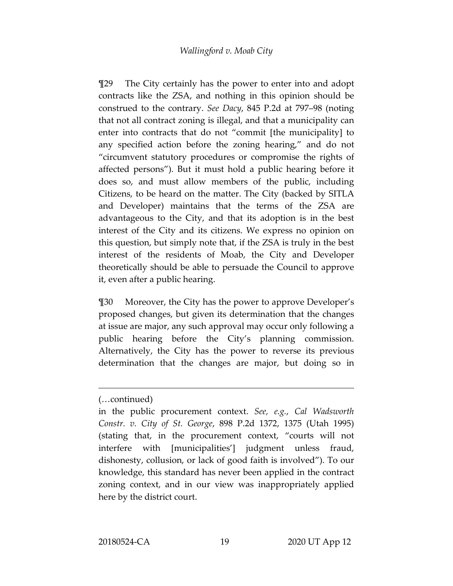¶29 The City certainly has the power to enter into and adopt contracts like the ZSA, and nothing in this opinion should be construed to the contrary. *See Dacy*, 845 P.2d at 797–98 (noting that not all contract zoning is illegal, and that a municipality can enter into contracts that do not "commit [the municipality] to any specified action before the zoning hearing," and do not "circumvent statutory procedures or compromise the rights of affected persons"). But it must hold a public hearing before it does so, and must allow members of the public, including Citizens, to be heard on the matter. The City (backed by SITLA and Developer) maintains that the terms of the ZSA are advantageous to the City, and that its adoption is in the best interest of the City and its citizens. We express no opinion on this question, but simply note that, if the ZSA is truly in the best interest of the residents of Moab, the City and Developer theoretically should be able to persuade the Council to approve it, even after a public hearing.

¶30 Moreover, the City has the power to approve Developer's proposed changes, but given its determination that the changes at issue are major, any such approval may occur only following a public hearing before the City's planning commission. Alternatively, the City has the power to reverse its previous determination that the changes are major, but doing so in

<sup>(…</sup>continued)

in the public procurement context. *See, e.g.*, *Cal Wadsworth Constr. v. City of St. George*, 898 P.2d 1372, 1375 (Utah 1995) (stating that, in the procurement context, "courts will not interfere with [municipalities'] judgment unless fraud, dishonesty, collusion, or lack of good faith is involved"). To our knowledge, this standard has never been applied in the contract zoning context, and in our view was inappropriately applied here by the district court.